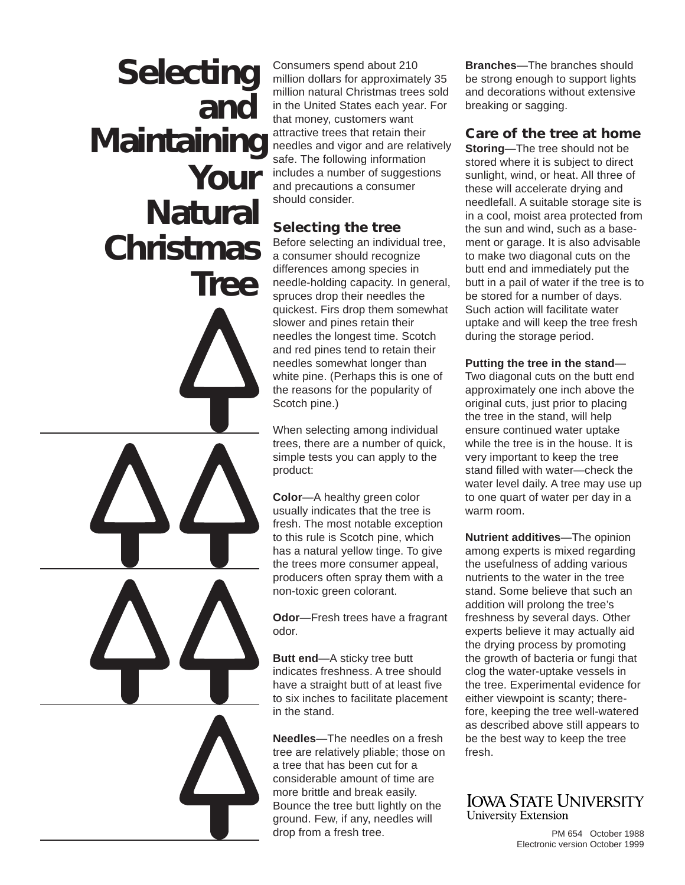# **Selecting Your Natural Christmas Maintaining Tree and**

Consumers spend about 210 million dollars for approximately 35 million natural Christmas trees sold in the United States each year. For that money, customers want attractive trees that retain their needles and vigor and are relatively safe. The following information includes a number of suggestions and precautions a consumer should consider.

## **Selecting the tree**

Before selecting an individual tree, a consumer should recognize differences among species in needle-holding capacity. In general, spruces drop their needles the quickest. Firs drop them somewhat slower and pines retain their needles the longest time. Scotch and red pines tend to retain their needles somewhat longer than white pine. (Perhaps this is one of the reasons for the popularity of Scotch pine.)

When selecting among individual trees, there are a number of quick, simple tests you can apply to the product:

**Color**—A healthy green color usually indicates that the tree is fresh. The most notable exception to this rule is Scotch pine, which has a natural yellow tinge. To give the trees more consumer appeal, producers often spray them with a non-toxic green colorant.

**Odor**—Fresh trees have a fragrant odor.

**Butt end**—A sticky tree butt indicates freshness. A tree should have a straight butt of at least five to six inches to facilitate placement in the stand.

**Needles**—The needles on a fresh tree are relatively pliable; those on a tree that has been cut for a considerable amount of time are more brittle and break easily. Bounce the tree butt lightly on the ground. Few, if any, needles will drop from a fresh tree.

**Branches**—The branches should be strong enough to support lights and decorations without extensive breaking or sagging.

**Care of the tree at home**

**Storing**—The tree should not be stored where it is subject to direct sunlight, wind, or heat. All three of these will accelerate drying and needlefall. A suitable storage site is in a cool, moist area protected from the sun and wind, such as a basement or garage. It is also advisable to make two diagonal cuts on the butt end and immediately put the butt in a pail of water if the tree is to be stored for a number of days. Such action will facilitate water uptake and will keep the tree fresh during the storage period.

**Putting the tree in the stand**— Two diagonal cuts on the butt end approximately one inch above the original cuts, just prior to placing the tree in the stand, will help ensure continued water uptake while the tree is in the house. It is very important to keep the tree stand filled with water—check the water level daily. A tree may use up to one quart of water per day in a warm room.

**Nutrient additives**—The opinion among experts is mixed regarding the usefulness of adding various nutrients to the water in the tree stand. Some believe that such an addition will prolong the tree's freshness by several days. Other experts believe it may actually aid the drying process by promoting the growth of bacteria or fungi that clog the water-uptake vessels in the tree. Experimental evidence for either viewpoint is scanty; therefore, keeping the tree well-watered as described above still appears to be the best way to keep the tree fresh.

### **IOWA STATE UNIVERSITY** University Extension